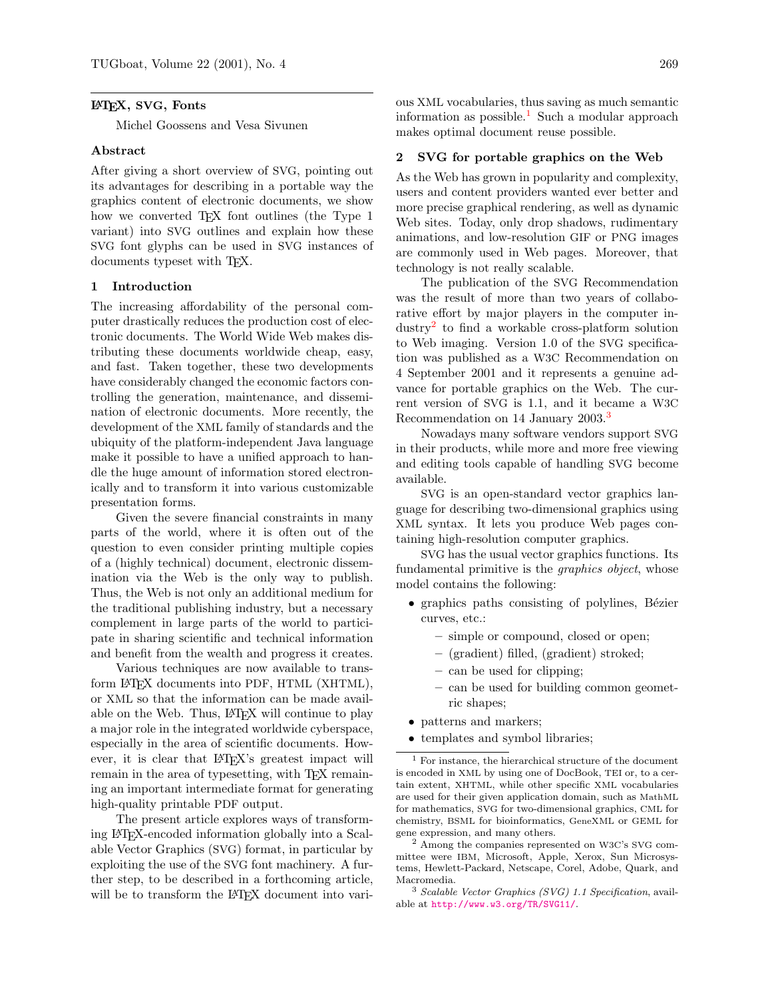### LATEX, SVG, Fonts

Michel Goossens and Vesa Sivunen

#### Abstract

After giving a short overview of SVG, pointing out its advantages for describing in a portable way the graphics content of electronic documents, we show how we converted T<sub>EX</sub> font outlines (the Type 1 variant) into SVG outlines and explain how these SVG font glyphs can be used in SVG instances of documents typeset with T<sub>E</sub>X.

### <span id="page-0-3"></span>1 Introduction

The increasing affordability of the personal computer drastically reduces the production cost of electronic documents. The World Wide Web makes distributing these documents worldwide cheap, easy, and fast. Taken together, these two developments have considerably changed the economic factors controlling the generation, maintenance, and dissemination of electronic documents. More recently, the development of the XML family of standards and the ubiquity of the platform-independent Java language make it possible to have a unified approach to handle the huge amount of information stored electronically and to transform it into various customizable presentation forms.

Given the severe financial constraints in many parts of the world, where it is often out of the question to even consider printing multiple copies of a (highly technical) document, electronic dissemination via the Web is the only way to publish. Thus, the Web is not only an additional medium for the traditional publishing industry, but a necessary complement in large parts of the world to participate in sharing scientific and technical information and benefit from the wealth and progress it creates.

Various techniques are now available to transform LATEX documents into PDF, HTML (XHTML), or XML so that the information can be made available on the Web. Thus, LATEX will continue to play a major role in the integrated worldwide cyberspace, especially in the area of scientific documents. However, it is clear that LAT<sub>EX</sub>'s greatest impact will remain in the area of typesetting, with T<sub>E</sub>X remaining an important intermediate format for generating high-quality printable PDF output.

The present article explores ways of transforming LATEX-encoded information globally into a Scalable Vector Graphics (SVG) format, in particular by exploiting the use of the SVG font machinery. A further step, to be described in a forthcoming article, will be to transform the LAT<sub>EX</sub> document into vari-

ous XML vocabularies, thus saving as much semantic information as possible.<sup>[1](#page-0-0)</sup> Such a modular approach makes optimal document reuse possible.

### 2 SVG for portable graphics on the Web

As the Web has grown in popularity and complexity, users and content providers wanted ever better and more precise graphical rendering, as well as dynamic Web sites. Today, only drop shadows, rudimentary animations, and low-resolution GIF or PNG images are commonly used in Web pages. Moreover, that technology is not really scalable.

The publication of the SVG Recommendation was the result of more than two years of collaborative effort by major players in the computer industry[2](#page-0-1) to find a workable cross-platform solution to Web imaging. Version 1.0 of the SVG specification was published as a W3C Recommendation on 4 September 2001 and it represents a genuine advance for portable graphics on the Web. The current version of SVG is 1.1, and it became a W3C Recommendation on 14 January 200[3](#page-0-2).<sup>3</sup>

Nowadays many software vendors support SVG in their products, while more and more free viewing and editing tools capable of handling SVG become available.

SVG is an open-standard vector graphics language for describing two-dimensional graphics using XML syntax. It lets you produce Web pages containing high-resolution computer graphics.

SVG has the usual vector graphics functions. Its fundamental primitive is the *graphics object*, whose model contains the following:

- graphics paths consisting of polylines, Bézier curves, etc.:
	- simple or compound, closed or open;
	- (gradient) filled, (gradient) stroked;
	- can be used for clipping;
	- can be used for building common geometric shapes;
- patterns and markers;
- <span id="page-0-0"></span>• templates and symbol libraries;

<sup>1</sup> For instance, the hierarchical structure of the document is encoded in XML by using one of DocBook, TEI or, to a certain extent, XHTML, while other specific XML vocabularies are used for their given application domain, such as MathML for mathematics, SVG for two-dimensional graphics, CML for chemistry, BSML for bioinformatics, GeneXML or GEML for gene expression, and many others.

<span id="page-0-1"></span><sup>2</sup> Among the companies represented on W3C's SVG committee were IBM, Microsoft, Apple, Xerox, Sun Microsystems, Hewlett-Packard, Netscape, Corel, Adobe, Quark, and Macromedia.

<span id="page-0-2"></span><sup>3</sup> Scalable Vector Graphics (SVG) 1.1 Specification, available at <http://www.w3.org/TR/SVG11/>.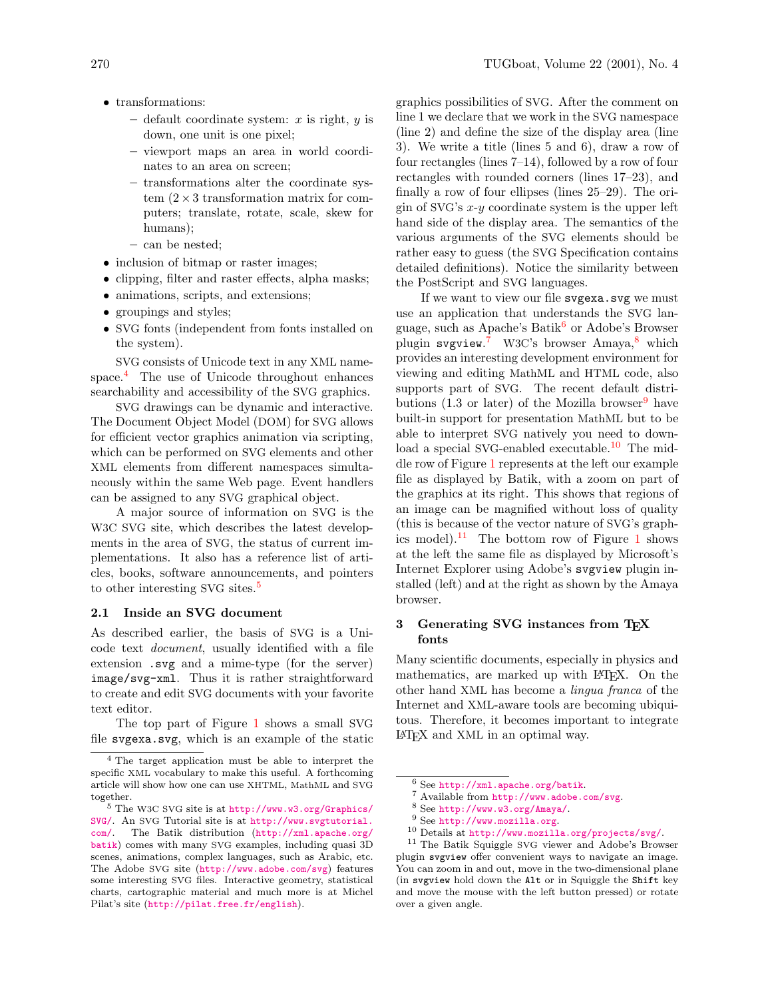- default coordinate system:  $x$  is right,  $y$  is down, one unit is one pixel;
- viewport maps an area in world coordinates to an area on screen;
- transformations alter the coordinate system  $(2 \times 3$  transformation matrix for computers; translate, rotate, scale, skew for humans);
- can be nested;
- inclusion of bitmap or raster images;
- clipping, filter and raster effects, alpha masks;
- animations, scripts, and extensions;
- groupings and styles;
- SVG fonts (independent from fonts installed on the system).

SVG consists of Unicode text in any XML namespace.[4](#page-1-0) The use of Unicode throughout enhances searchability and accessibility of the SVG graphics.

SVG drawings can be dynamic and interactive. The Document Object Model (DOM) for SVG allows for efficient vector graphics animation via scripting, which can be performed on SVG elements and other XML elements from different namespaces simultaneously within the same Web page. Event handlers can be assigned to any SVG graphical object.

A major source of information on SVG is the W3C SVG site, which describes the latest developments in the area of SVG, the status of current implementations. It also has a reference list of articles, books, software announcements, and pointers to other interesting SVG sites.<sup>[5](#page-1-1)</sup>

### 2.1 Inside an SVG document

As described earlier, the basis of SVG is a Unicode text document, usually identified with a file extension .svg and a mime-type (for the server) image/svg-xml. Thus it is rather straightforward to create and edit SVG documents with your favorite text editor.

The top part of Figure [1](#page-2-0) shows a small SVG file svgexa.svg, which is an example of the static graphics possibilities of SVG. After the comment on line 1 we declare that we work in the SVG namespace (line 2) and define the size of the display area (line 3). We write a title (lines 5 and 6), draw a row of four rectangles (lines 7–14), followed by a row of four rectangles with rounded corners (lines 17–23), and finally a row of four ellipses (lines 25–29). The origin of SVG's  $x-y$  coordinate system is the upper left hand side of the display area. The semantics of the various arguments of the SVG elements should be rather easy to guess (the SVG Specification contains detailed definitions). Notice the similarity between the PostScript and SVG languages.

If we want to view our file svgexa.svg we must use an application that understands the SVG language, such as Apache's Batik $^6$  $^6$  or Adobe's Browser plugin svgview.<sup>[7](#page-1-3)</sup> W3C's browser Amaya,<sup>[8](#page-1-4)</sup> which provides an interesting development environment for viewing and editing MathML and HTML code, also supports part of SVG. The recent default distributions  $(1.3 \text{ or later})$  of the Mozilla browser<sup>[9](#page-1-5)</sup> have built-in support for presentation MathML but to be able to interpret SVG natively you need to down-load a special SVG-enabled executable.<sup>[10](#page-1-6)</sup> The middle row of Figure [1](#page-2-0) represents at the left our example file as displayed by Batik, with a zoom on part of the graphics at its right. This shows that regions of an image can be magnified without loss of quality (this is because of the vector nature of SVG's graph-ics model).<sup>[11](#page-1-7)</sup> The bottom row of Figure [1](#page-2-0) shows at the left the same file as displayed by Microsoft's Internet Explorer using Adobe's svgview plugin installed (left) and at the right as shown by the Amaya browser.

## 3 Generating SVG instances from TEX fonts

Many scientific documents, especially in physics and mathematics, are marked up with LAT<sub>F</sub>X. On the other hand XML has become a lingua franca of the Internet and XML-aware tools are becoming ubiquitous. Therefore, it becomes important to integrate LATEX and XML in an optimal way.

<span id="page-1-0"></span><sup>4</sup> The target application must be able to interpret the specific XML vocabulary to make this useful. A forthcoming article will show how one can use XHTML, MathML and SVG together.

<span id="page-1-1"></span><sup>5</sup> The W3C SVG site is at [http://www.w3.org/Graphics/](http://www.w3.org/Graphics/SVG/) [SVG/](http://www.w3.org/Graphics/SVG/). An SVG Tutorial site is at [http://www.svgtutorial.](http://www.svgtutorial.com/) [com/](http://www.svgtutorial.com/). The Batik distribution ([http://xml.apache.org/](http://xml.apache.org/batik) [batik](http://xml.apache.org/batik)) comes with many SVG examples, including quasi 3D scenes, animations, complex languages, such as Arabic, etc. The Adobe SVG site (<http://www.adobe.com/svg>) features some interesting SVG files. Interactive geometry, statistical charts, cartographic material and much more is at Michel Pilat's site (<http://pilat.free.fr/english>).

<span id="page-1-2"></span> $^6$  See <http://xml.apache.org/batik>.

<span id="page-1-3"></span><sup>7</sup> Available from <http://www.adobe.com/svg>.

<span id="page-1-4"></span><sup>8</sup> See <http://www.w3.org/Amaya/>.

<span id="page-1-6"></span><span id="page-1-5"></span><sup>9</sup> See <http://www.mozilla.org>.

<span id="page-1-7"></span><sup>10</sup> Details at <http://www.mozilla.org/projects/svg/>.

<sup>&</sup>lt;sup>11</sup> The Batik Squiggle SVG viewer and Adobe's Browser plugin svgview offer convenient ways to navigate an image. You can zoom in and out, move in the two-dimensional plane (in svgview hold down the Alt or in Squiggle the Shift key and move the mouse with the left button pressed) or rotate over a given angle.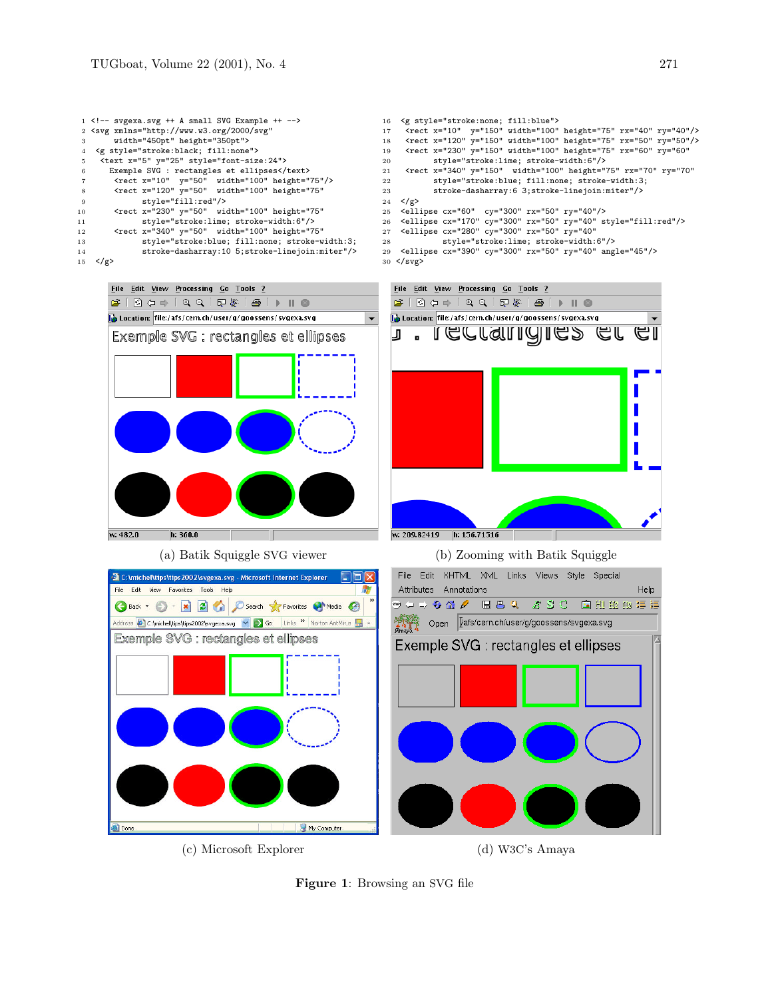<span id="page-2-0"></span>Figure 1: Browsing an SVG file



|                 | $1$ svgexa.svg ++ A small SVG Example ++                             |  |  |  |  |  |  |  |  |  |  |
|-----------------|----------------------------------------------------------------------|--|--|--|--|--|--|--|--|--|--|
|                 | 2 <svg <="" th="" xmlns="http://www.w3.org/2000/svg"></svg>          |  |  |  |  |  |  |  |  |  |  |
| 3               | width="450pt" height="350pt">                                        |  |  |  |  |  |  |  |  |  |  |
| $\overline{4}$  | <g style="stroke:black; fill:none"></g>                              |  |  |  |  |  |  |  |  |  |  |
| 5.              | <text style="font-size:24" x="5" y="25"></text>                      |  |  |  |  |  |  |  |  |  |  |
| 6               | Exemple SVG : rectangles et ellipses                                 |  |  |  |  |  |  |  |  |  |  |
| $\overline{7}$  | $\text{gamma x} = "10" y = "50" width = "100" height = "75*/\rangle$ |  |  |  |  |  |  |  |  |  |  |
| 8               | <rect <="" height="75" th="" width="100" x="120" y="50"></rect>      |  |  |  |  |  |  |  |  |  |  |
| 9               | style="fill:red"/>                                                   |  |  |  |  |  |  |  |  |  |  |
| 10              | <rect <="" height="75" th="" width="100" x="230" y="50"></rect>      |  |  |  |  |  |  |  |  |  |  |
| 11              | style="stroke:lime; stroke-width:6"/>                                |  |  |  |  |  |  |  |  |  |  |
| 12              | <rect <="" height="75" th="" width="100" x="340" y="50"></rect>      |  |  |  |  |  |  |  |  |  |  |
| 13              | style="stroke:blue; fill:none; stroke-width:3;                       |  |  |  |  |  |  |  |  |  |  |
| 14              | stroke-dasharray: 10 5; stroke-line join: miter"/>                   |  |  |  |  |  |  |  |  |  |  |
| 15 <sub>1</sub> | $\langle$ /g>                                                        |  |  |  |  |  |  |  |  |  |  |
|                 |                                                                      |  |  |  |  |  |  |  |  |  |  |

 $\begin{array}{l}\n\bullet & \parallel \bullet & \parallel \bullet \\
\bullet & \parallel & \parallel \bullet\n\end{array}$ **b** Location: file:/afs/cern.ch/user/g/goossens/svgexa.svg

| Exemple SVG : rectangles et ellipses                                                                                                        | <rect <br="" height="75" rx="70" ry="70" width="100" x="340" y="150">21</rect> |
|---------------------------------------------------------------------------------------------------------------------------------------------|--------------------------------------------------------------------------------|
| $\epsilon$ /rect x="10" y="50" width="100" height="75"/>                                                                                    | style="stroke:blue; fill:none; stroke-width:3;<br>22                           |
| <rect <="" height="75" td="" width="100" x="120" y="50"><td>stroke-dasharray: 6 3; stroke-line join: miter"/&gt;<br/>23</td></rect>         | stroke-dasharray: 6 3; stroke-line join: miter"/><br>23                        |
| style="fill:red"/>                                                                                                                          | 24 $\langle$ /g>                                                               |
| <rect <="" height="75" td="" width="100" x="230" y="50"><td>25 <ellipse cx="60" cy="300" rx="50" ry="40"></ellipse></td></rect>             | 25 <ellipse cx="60" cy="300" rx="50" ry="40"></ellipse>                        |
| style="stroke:lime; stroke-width:6"/>                                                                                                       | 26 <ellipse cx="170" cy="300" rx="50" ry="40" style="fill:red"></ellipse>      |
| <rect <="" height="75" td="" width="100" x="340" y="50"><td>27 <ellipse <="" cx="280" cy="300" rx="50" ry="40" td=""></ellipse></td></rect> | 27 <ellipse <="" cx="280" cy="300" rx="50" ry="40" td=""></ellipse>            |
| style="stroke:blue; fill:none; stroke-width:3;                                                                                              | style="stroke:lime; stroke-width:6"/><br>28                                    |
| stroke-dasharray: 10 5; stroke-line join: miter"/>                                                                                          | 29 <ellipse angle="45" cx="390" cy="300" rx="50" ry="40"></ellipse>            |
|                                                                                                                                             | $30 \leq$ svg>                                                                 |
|                                                                                                                                             |                                                                                |
|                                                                                                                                             |                                                                                |
| File Edit View Processing Go Tools ?                                                                                                        | File Edit View Processing Go Tools ?                                           |

J

 $\blacktriangledown$ 

|                                      | 25 <ellipse cx="60" cy="300" rx="50" ry="40"></ellipse>                                                                   |  |                                       |  |  |                                                                           |  |  |  |  |
|--------------------------------------|---------------------------------------------------------------------------------------------------------------------------|--|---------------------------------------|--|--|---------------------------------------------------------------------------|--|--|--|--|
|                                      |                                                                                                                           |  |                                       |  |  | 26 <ellipse cx="170" cy="300" rx="50" ry="40" style="fill:red"></ellipse> |  |  |  |  |
|                                      | 27 <ellipse <="" cx="280" cy="300" rx="50" ry="40" th=""><th></th><th></th><th></th><th></th><th></th><th></th></ellipse> |  |                                       |  |  |                                                                           |  |  |  |  |
| 28                                   |                                                                                                                           |  | style="stroke:lime; stroke-width:6"/> |  |  |                                                                           |  |  |  |  |
|                                      |                                                                                                                           |  |                                       |  |  | 29 <ellipse angle="45" cx="390" cy="300" rx="50" ry="40"></ellipse>       |  |  |  |  |
|                                      | 30                                                                                                                        |  |                                       |  |  |                                                                           |  |  |  |  |
|                                      |                                                                                                                           |  |                                       |  |  |                                                                           |  |  |  |  |
|                                      |                                                                                                                           |  |                                       |  |  |                                                                           |  |  |  |  |
| File Edit View Processing Go Tools ? |                                                                                                                           |  |                                       |  |  |                                                                           |  |  |  |  |
|                                      |                                                                                                                           |  |                                       |  |  |                                                                           |  |  |  |  |
|                                      | <b>A</b> Location: file:/afs/cern.ch/user/g/goossens/svgexa.svg                                                           |  |                                       |  |  |                                                                           |  |  |  |  |

<rect x="10" y="150" width="100" height="75" rx="40" ry="40"/> 18 <rect x="120" y="150" width="100" height="75" rx="50" ry="50"/> 19 <rect x="230" y="150" width="100" height="75" rx="60" ry="60"

<g style="stroke:none; fill:blue">

style="stroke:lime; stroke-width:6"/>

 $\overline{\mathbb{E}}$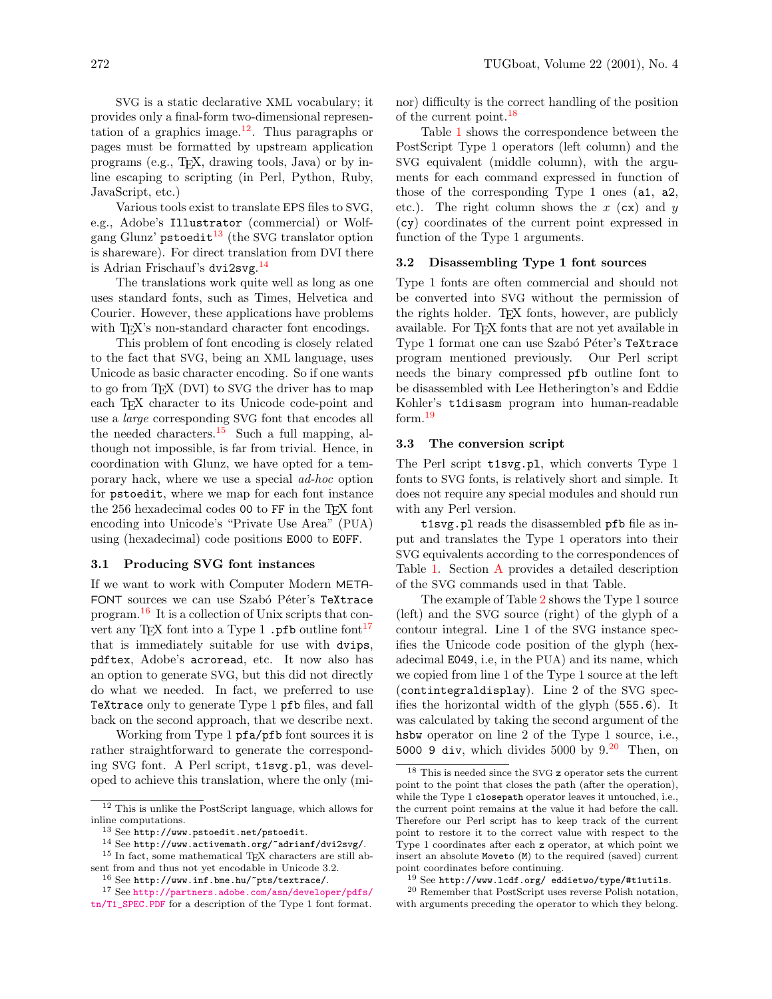SVG is a static declarative XML vocabulary; it provides only a final-form two-dimensional represen-tation of a graphics image.<sup>[12](#page-3-0)</sup>. Thus paragraphs or pages must be formatted by upstream application programs (e.g., TEX, drawing tools, Java) or by inline escaping to scripting (in Perl, Python, Ruby, JavaScript, etc.)

Various tools exist to translate EPS files to SVG, e.g., Adobe's Illustrator (commercial) or Wolf-gang Glunz' pstoedit<sup>[13](#page-3-1)</sup> (the SVG translator option is shareware). For direct translation from DVI there is Adrian Frischauf's dvi2svg. [14](#page-3-2)

The translations work quite well as long as one uses standard fonts, such as Times, Helvetica and Courier. However, these applications have problems with T<sub>EX</sub>'s non-standard character font encodings.

This problem of font encoding is closely related to the fact that SVG, being an XML language, uses Unicode as basic character encoding. So if one wants to go from TEX (DVI) to SVG the driver has to map each T<sub>EX</sub> character to its Unicode code-point and use a large corresponding SVG font that encodes all the needed characters.[15](#page-3-3) Such a full mapping, although not impossible, is far from trivial. Hence, in coordination with Glunz, we have opted for a temporary hack, where we use a special ad-hoc option for pstoedit, where we map for each font instance the 256 hexadecimal codes 00 to FF in the T<sub>F</sub>X font encoding into Unicode's "Private Use Area" (PUA) using (hexadecimal) code positions E000 to E0FF.

#### 3.1 Producing SVG font instances

If we want to work with Computer Modern META-FONT sources we can use Szabó Péter's TeXtrace program.[16](#page-3-4) It is a collection of Unix scripts that con-vert any T<sub>E</sub>X font into a Type 1 .pfb outline font<sup>[17](#page-3-5)</sup> that is immediately suitable for use with dvips, pdftex, Adobe's acroread, etc. It now also has an option to generate SVG, but this did not directly do what we needed. In fact, we preferred to use TeXtrace only to generate Type 1 pfb files, and fall back on the second approach, that we describe next.

Working from Type 1 pfa/pfb font sources it is rather straightforward to generate the corresponding SVG font. A Perl script, t1svg.pl, was developed to achieve this translation, where the only (minor) difficulty is the correct handling of the position of the current point.<sup>[18](#page-3-6)</sup>

Table [1](#page-4-0) shows the correspondence between the PostScript Type 1 operators (left column) and the SVG equivalent (middle column), with the arguments for each command expressed in function of those of the corresponding Type 1 ones (a1, a2, etc.). The right column shows the  $x$  (cx) and  $y$ (cy) coordinates of the current point expressed in function of the Type 1 arguments.

### 3.2 Disassembling Type 1 font sources

Type 1 fonts are often commercial and should not be converted into SVG without the permission of the rights holder. T<sub>E</sub>X fonts, however, are publicly available. For TEX fonts that are not yet available in Type 1 format one can use Szabó Péter's TeXtrace program mentioned previously. Our Perl script needs the binary compressed pfb outline font to be disassembled with Lee Hetherington's and Eddie Kohler's t1disasm program into human-readable form.[19](#page-3-7)

### 3.3 The conversion script

The Perl script t1svg.pl, which converts Type 1 fonts to SVG fonts, is relatively short and simple. It does not require any special modules and should run with any Perl version.

t1svg.pl reads the disassembled pfb file as input and translates the Type 1 operators into their SVG equivalents according to the correspondences of Table [1.](#page-4-0) Section [A](#page-0-3) provides a detailed description of the SVG commands used in that Table.

The example of Table [2](#page-4-1) shows the Type 1 source (left) and the SVG source (right) of the glyph of a contour integral. Line 1 of the SVG instance specifies the Unicode code position of the glyph (hexadecimal E049, i.e, in the PUA) and its name, which we copied from line 1 of the Type 1 source at the left (contintegraldisplay). Line 2 of the SVG specifies the horizontal width of the glyph (555.6). It was calculated by taking the second argument of the hsbw operator on line 2 of the Type 1 source, i.e., 5000 9 div, which divides 5000 by  $9.^{20}$  $9.^{20}$  $9.^{20}$  Then, on

<span id="page-3-0"></span> $^{12}$  This is unlike the PostScript language, which allows for inline computations.

<span id="page-3-3"></span><span id="page-3-2"></span><span id="page-3-1"></span><sup>13</sup> See http://www.pstoedit.net/pstoedit.

<sup>14</sup> See http://www.activemath.org/~adrianf/dvi2svg/.  $^{15}$  In fact, some mathematical TEX characters are still absent from and thus not yet encodable in Unicode 3.2.

<span id="page-3-5"></span><span id="page-3-4"></span><sup>16</sup> See http://www.inf.bme.hu/~pts/textrace/.

<sup>17</sup> See [http://partners.adobe.com/asn/developer/pdfs/](http://partners.adobe.com/asn/developer/pdfs/tn/T1_SPEC.PDF)

[tn/T1\\_SPEC.PDF](http://partners.adobe.com/asn/developer/pdfs/tn/T1_SPEC.PDF) for a description of the Type 1 font format.

<span id="page-3-6"></span><sup>18</sup> This is needed since the SVG z operator sets the current point to the point that closes the path (after the operation), while the Type 1 closepath operator leaves it untouched, i.e., the current point remains at the value it had before the call. Therefore our Perl script has to keep track of the current point to restore it to the correct value with respect to the Type 1 coordinates after each z operator, at which point we insert an absolute Moveto (M) to the required (saved) current point coordinates before continuing.

<span id="page-3-8"></span><span id="page-3-7"></span><sup>19</sup> See http://www.lcdf.org/ eddietwo/type/#t1utils.

<sup>20</sup> Remember that PostScript uses reverse Polish notation, with arguments preceding the operator to which they belong.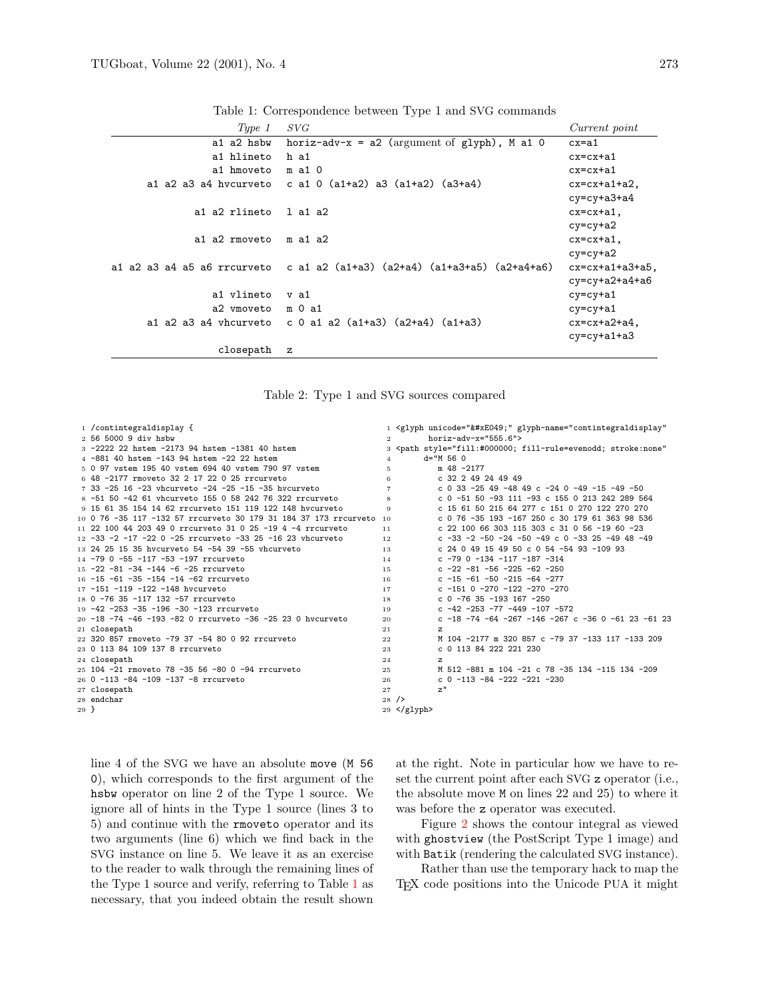| Type 1            | SVG                                                                       | Current point      |
|-------------------|---------------------------------------------------------------------------|--------------------|
| a1 a2 hsbw        | horiz-adv- $x = a2$ (argument of glyph), M a1 0                           | $cx = a1$          |
| a1 hlineto        | h a1                                                                      | $cx=cx+a1$         |
| a1 hmoveto        | $m$ a 1 0                                                                 | $cx=cx+a1$         |
|                   | a1 a2 a3 a4 hycurveto c a1 0 $(a1+a2)$ a3 $(a1+a2)$ $(a3+a4)$             | $cx=cx+a1+a2$ ,    |
|                   |                                                                           | $cy=cy+a3+a4$      |
| a1 a2 rlineto     | 1 a1 a2                                                                   | $cx=cx+a1$ ,       |
|                   |                                                                           | $cy=cy+a2$         |
| a1 a2 rmoveto     | m a1 a2                                                                   | $cx=cx+a1$ ,       |
|                   |                                                                           | $cy=cy+a2$         |
|                   | a1 a2 a3 a4 a5 a6 rrcurveto c a1 a2 (a1+a3) (a2+a4) (a1+a3+a5) (a2+a4+a6) | $cx=cx+a1+a3+a5$ , |
|                   |                                                                           | $cy=cy+a2+a4+a6$   |
| a1 vlineto        | v a 1                                                                     | $cy=cy+a1$         |
| a2 vmoveto m 0 a1 |                                                                           | $cy=cy+a1$         |
|                   | a1 a2 a3 a4 vhcurveto c 0 a1 a2 $(a1+a3)$ $(a2+a4)$ $(a1+a3)$             | $cx=cx+a2+a4$ ,    |
|                   |                                                                           | $cy=cy+a1+a3$      |
| closepath         | $\mathbf{z}$                                                              |                    |

<span id="page-4-0"></span>Table 1: Correspondence between Type 1 and SVG commands

<span id="page-4-1"></span>

|  |  |  |  |  | Table 2: Type 1 and SVG sources compared |
|--|--|--|--|--|------------------------------------------|
|--|--|--|--|--|------------------------------------------|

|        | 1 / contintegraldisplay {                                           |                | 1 <glyph <="" glyph-name="contintegraldisplay" td="" unicode=""></glyph>       |
|--------|---------------------------------------------------------------------|----------------|---------------------------------------------------------------------------------|
|        | 2 56 5000 9 div hsbw                                                | $\overline{2}$ | $horiz$ -adv-x="555.6">                                                         |
|        | 3 -2222 22 hstem -2173 94 hstem -1381 40 hstem                      |                | 3 <path <="" style="fill:#000000; fill-rule=evenodd; stroke:none" td=""></path> |
|        | 4 -881 40 hstem -143 94 hstem -22 22 hstem                          | $\overline{4}$ | $d = "M 56 0$                                                                   |
|        | 5 0 97 vstem 195 40 vstem 694 40 vstem 790 97 vstem                 | 5.             | $m$ 48 -2177                                                                    |
|        | 6 48 -2177 rmoveto 32 2 17 22 0 25 rrcurveto                        | 6              | $c$ 32 2 49 24 49 49                                                            |
|        | 7 33 -25 16 -23 vhcurveto -24 -25 -15 -35 hycurveto                 | $\overline{7}$ | c 0 33 -25 49 -48 49 c -24 0 -49 -15 -49 -50                                    |
|        | 8 -51 50 -42 61 vhcurveto 155 0 58 242 76 322 rrcurveto             | 8              | c 0 -51 50 -93 111 -93 c 155 0 213 242 289 564                                  |
|        | 9 15 61 35 154 14 62 rrcurveto 151 119 122 148 hycurveto            | 9              | c 15 61 50 215 64 277 c 151 0 270 122 270 270                                   |
|        | 10 0 76 -35 117 -132 57 rrcurveto 30 179 31 184 37 173 rrcurveto 10 |                | c 0 76 -35 193 -167 250 c 30 179 61 363 98 536                                  |
|        | 11 22 100 44 203 49 0 rrcurveto 31 0 25 -19 4 -4 rrcurveto          | 11             | c 22 100 66 303 115 303 c 31 0 56 -19 60 -23                                    |
|        | 12 -33 -2 -17 -22 0 -25 rrcurveto -33 25 -16 23 vhcurveto           | 12             | c -33 -2 -50 -24 -50 -49 c 0 -33 25 -49 48 -49                                  |
|        | 13 24 25 15 35 hycurveto 54 -54 39 -55 vhcurveto                    | 13             | c 24 0 49 15 49 50 c 0 54 -54 93 -109 93                                        |
|        | 14 -79 0 -55 -117 -53 -197 rrcurveto                                | 14             | c $-79$ 0 $-134$ $-117$ $-187$ $-314$                                           |
|        | $15 - 22 - 81 - 34 - 144 - 6 - 25$ rrcurveto                        | 1.5            | c -22 -81 -56 -225 -62 -250                                                     |
|        | 16 -15 -61 -35 -154 -14 -62 rrcurveto                               | 16             | $c - 15 - 61 - 50 - 215 - 64 - 277$                                             |
|        | 17 -151 -119 -122 -148 hycurveto                                    | 17             | $c - 151$ 0 $-270$ $-122$ $-270$ $-270$                                         |
|        | 18 0 -76 35 -117 132 -57 rrcurveto                                  | 18             | $c$ 0 -76 35 -193 167 -250                                                      |
|        | 19 -42 -253 -35 -196 -30 -123 rrcurveto                             | 19             | c $-42$ $-253$ $-77$ $-449$ $-107$ $-572$                                       |
|        | 20 -18 -74 -46 -193 -82 0 rrcurveto -36 -25 23 0 hycurveto          | 20             | c $-18$ $-74$ $-64$ $-267$ $-146$ $-267$ c $-36$ 0 $-61$ 23 $-61$ 23            |
|        | 21 closepath                                                        | 21             | z                                                                               |
|        | 22 320 857 rmoveto -79 37 -54 80 0 92 rrcurveto                     | 22             | M 104 -2177 m 320 857 c -79 37 -133 117 -133 209                                |
|        | 23 0 113 84 109 137 8 rrcurveto                                     | 23             | c 0 113 84 222 221 230                                                          |
|        | 24 closepath                                                        | 24             | z                                                                               |
|        | 25 104 -21 rmoveto 78 -35 56 -80 0 -94 rrcurveto                    | 25             | M 512 -881 m 104 -21 c 78 -35 134 -115 134 -209                                 |
|        | 26 0 -113 -84 -109 -137 -8 rrcurveto                                | 26             | $c$ 0 -113 -84 -222 -221 -230                                                   |
|        | 27 closepath                                                        | 27             | z''                                                                             |
|        | 28 endchar                                                          | 28/2           |                                                                                 |
| $29$ } |                                                                     |                | $29 \leq$ /glyph>                                                               |
|        |                                                                     |                |                                                                                 |

line 4 of the SVG we have an absolute move (M 56 ), which corresponds to the first argument of the hsbw operator on line 2 of the Type 1 source. We ignore all of hints in the Type 1 source (lines 3 to 5) and continue with the rmoveto operator and its two arguments (line 6) which we find back in the SVG instance on line 5. We leave it as an exercise to the reader to walk through the remaining lines of the Type 1 source and verify, referring to Table [1](#page-4-0) as necessary, that you indeed obtain the result shown

at the right. Note in particular how we have to reset the current point after each SVG z operator (i.e., the absolute move M on lines 22 and 25) to where it was before the z operator was executed.

Figure [2](#page-5-0) shows the contour integral as viewed with ghostview (the PostScript Type 1 image) and with Batik (rendering the calculated SVG instance).

Rather than use the temporary hack to map the TEX code positions into the Unicode PUA it might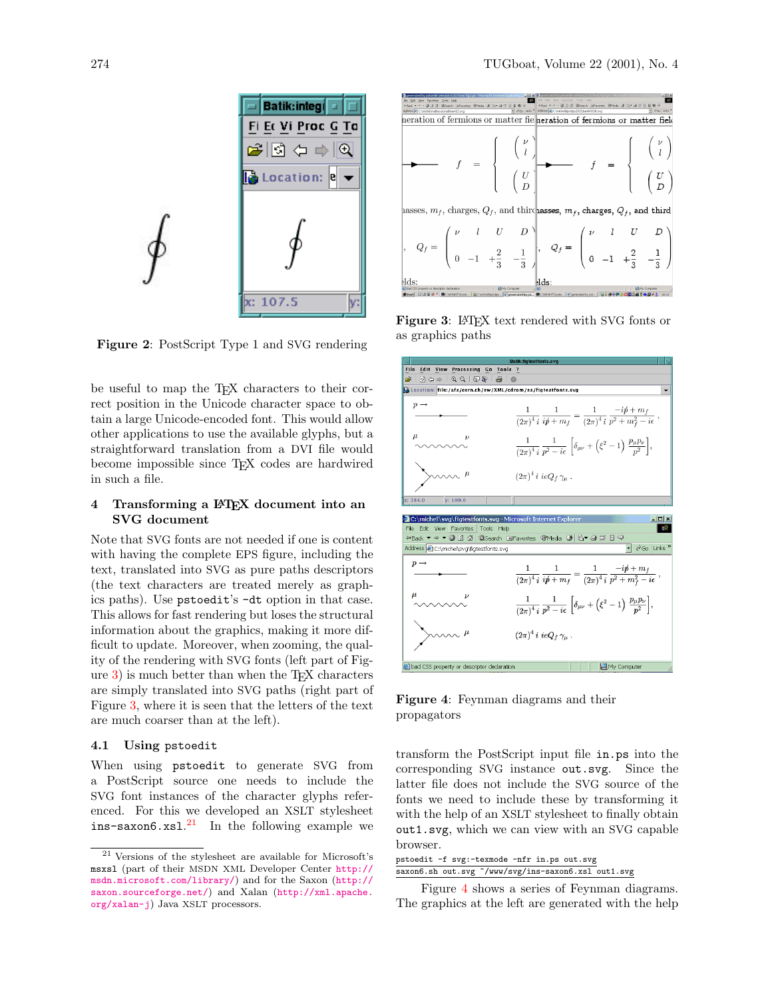

<span id="page-5-0"></span>Figure 2: PostScript Type 1 and SVG rendering

be useful to map the T<sub>E</sub>X characters to their correct position in the Unicode character space to obtain a large Unicode-encoded font. This would allow other applications to use the available glyphs, but a straightforward translation from a DVI file would become impossible since TEX codes are hardwired in such a file.

## 4 Transforming a LATEX document into an SVG document

Note that SVG fonts are not needed if one is content with having the complete EPS figure, including the text, translated into SVG as pure paths descriptors (the text characters are treated merely as graphics paths). Use pstoedit's -dt option in that case. This allows for fast rendering but loses the structural information about the graphics, making it more difficult to update. Moreover, when zooming, the quality of the rendering with SVG fonts (left part of Figure  $3$ ) is much better than when the T<sub>EX</sub> characters are simply translated into SVG paths (right part of Figure [3,](#page-5-1) where it is seen that the letters of the text are much coarser than at the left).

#### 4.1 Using pstoedit

When using pstoedit to generate SVG from a PostScript source one needs to include the SVG font instances of the character glyphs referenced. For this we developed an XSLT stylesheet  $ins$ -saxon $6.xs1.<sup>21</sup>$  $6.xs1.<sup>21</sup>$  $6.xs1.<sup>21</sup>$  In the following example we



<span id="page-5-1"></span>Figure 3: LAT<sub>E</sub>X text rendered with SVG fonts or as graphics paths



<span id="page-5-3"></span>Figure 4: Feynman diagrams and their propagators

transform the PostScript input file in.ps into the corresponding SVG instance out.svg. Since the latter file does not include the SVG source of the fonts we need to include these by transforming it with the help of an XSLT stylesheet to finally obtain out1.svg, which we can view with an SVG capable browser.

pstoedit -f svg:-texmode -nfr in.ps out.svg saxon6.sh out.svg ~/www/svg/ins-saxon6.xsl out1.svg

Figure [4](#page-5-3) shows a series of Feynman diagrams. The graphics at the left are generated with the help

<span id="page-5-2"></span><sup>21</sup> Versions of the stylesheet are available for Microsoft's msxsl (part of their MSDN XML Developer Center [http://](http://msdn.microsoft.com/library/) [msdn.microsoft.com/library/](http://msdn.microsoft.com/library/)) and for the Saxon ([http://](http://saxon.sourceforge.net/) [saxon.sourceforge.net/](http://saxon.sourceforge.net/)) and Xalan ([http://xml.apache.](http://xml.apache.org/xalan-j) [org/xalan-j](http://xml.apache.org/xalan-j)) Java XSLT processors.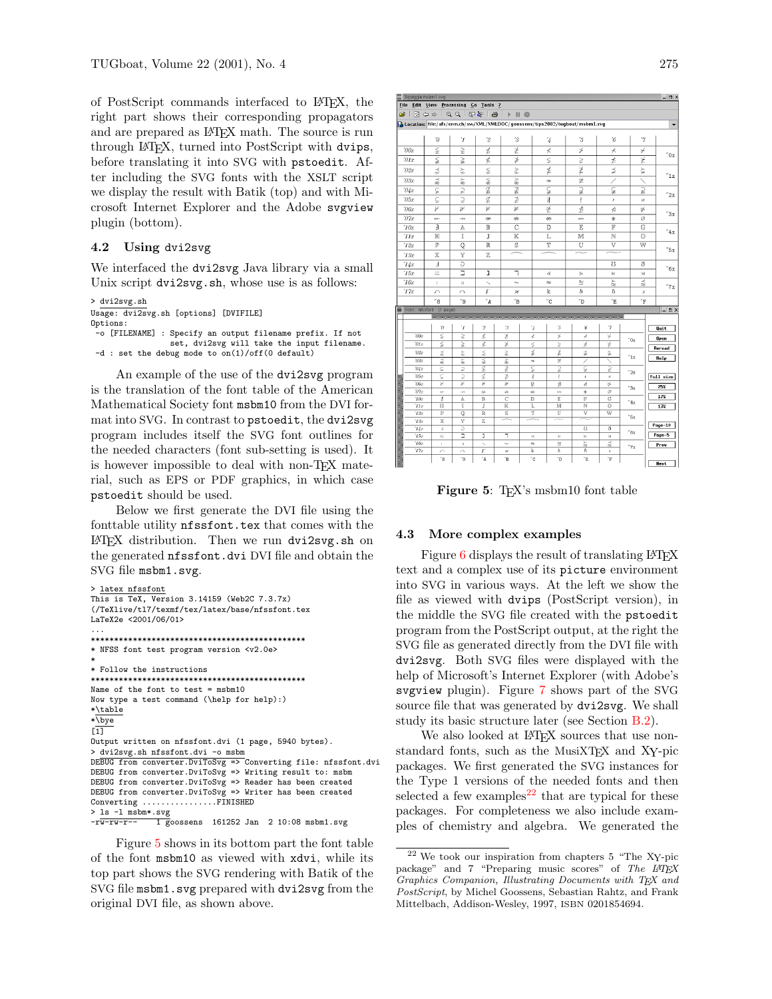of PostScript commands interfaced to LATEX, the right part shows their corresponding propagators and are prepared as IATEX math. The source is run through LATEX, turned into PostScript with dvips, before translating it into SVG with pstoedit. After including the SVG fonts with the XSLT script we display the result with Batik (top) and with Microsoft Internet Explorer and the Adobe svgview plugin (bottom).

### 4.2 Using dvi2svg

We interfaced the dvi2svg Java library via a small Unix script dvi2svg.sh, whose use is as follows:

```
> dvi2svg.sh
Usage: dvi2svg.sh [options] [DVIFILE]
Options:
 -o [FILENAME] : Specify an output filename prefix. If not
                 set, dvi2svg will take the input filename.
 -d : set the debug mode to on(1)/off(0 default)
```
An example of the use of the dvi2svg program is the translation of the font table of the American Mathematical Society font msbm10 from the DVI format into SVG. In contrast to pstoedit, the dvi2svg program includes itself the SVG font outlines for the needed characters (font sub-setting is used). It is however impossible to deal with non-TEX material, such as EPS or PDF graphics, in which case pstoedit should be used.

Below we first generate the DVI file using the fonttable utility nfssfont.tex that comes with the LATEX distribution. Then we run dvi2svg.sh on the generated nfssfont.dvi DVI file and obtain the SVG file msbm1.svg.

```
> latex nfssfont
This is TeX, Version 3.14159 (Web2C 7.3.7x)
(/TeXlive/tl7/texmf/tex/latex/base/nfssfont.tex
LaTeX2e <2001/06/01>
...
**********************************************
* NFSS font test program version <v2.0e>
*
* Follow the instructions
**********************************************
Name of the font to test = msbm10
Now type a test command (\help for help):)
*\table
*\overline{\vee}\overline{[1]}Output written on nfssfont.dvi (1 page, 5940 bytes).
> dvi2svg.sh nfssfont.dvi -o msbm
DEBUG from converter.DviToSvg => Converting file: nfssfont.dvi
DEBUG from converter.DviToSvg => Writing result to: msbm
DEBUG from converter.DviToSvg => Reader has been created
DEBUG from converter.DviToSvg => Writer has been created
Converting ................FINISHED
> ls -l msbm*.svg
-\overline{rw-rw-r--} 1 goossens 161252 Jan 2 10:08 msbm1.svg
```
Figure [5](#page-6-0) shows in its bottom part the font table of the font msbm10 as viewed with xdvi, while its top part shows the SVG rendering with Batik of the SVG file msbm1.svg prepared with dvi2svg from the original DVI file, as shown above.

|                     | Squiggle:msbm1.svg                            |                         |                          |                          |                          |           |                     |                                                                                 |                |                | $ \Box$ $\times$     |
|---------------------|-----------------------------------------------|-------------------------|--------------------------|--------------------------|--------------------------|-----------|---------------------|---------------------------------------------------------------------------------|----------------|----------------|----------------------|
|                     | File Edit View Processing Go Tools ?          |                         |                          |                          |                          |           |                     |                                                                                 |                |                |                      |
|                     | $B =  B  +  B  +  B  +  B  +  B  +  B  +  B $ |                         |                          |                          |                          |           |                     |                                                                                 |                |                |                      |
|                     |                                               |                         |                          |                          |                          |           |                     | b Location: file:/afs/cern.ch/sw/XML/XMLDOC/goossens/tips2002/tugboat/msbm1.svg |                |                | ▼                    |
|                     |                                               |                         |                          |                          |                          |           |                     |                                                                                 |                |                |                      |
|                     | $\theta$                                      | ${}^\prime\! I$         | $\overline{c}$           | '3                       |                          |           | $\frac{7}{4}$       | '5                                                                              | $\it{6}$       | 7              |                      |
| 200x                | ≨                                             | ≩                       | ≰                        | ≱                        |                          |           | $\neq$              | Þ                                                                               | K,             | ¥              | $^{\prime\prime}$ Ox |
| $\partial 1x$       | ≨                                             | $\geq$                  | ≰                        | ≱                        |                          |           | $\leq$              | ⋧                                                                               | ≠              | ⊭              |                      |
| 702x                | ⋨                                             | ⋩                       | $\lessapprox$            | ⋧                        |                          |           | ≰                   | ≱                                                                               | ⊉              | ≿              | $^{\prime\prime}1x$  |
| $\partial \Im x$    | 怼                                             | řΥ                      | ⋦                        | Z,                       |                          |           | $\sim$              | ≇                                                                               | ∕              |                |                      |
| 04x                 | ⊊                                             | $\overline{z}$          | ⊈                        | ⊉                        |                          |           | ç                   | $\overline{z}$                                                                  | ¥              | ⊋              | "2x                  |
| 05x                 | ç                                             | $\supseteq$             | ⊈                        | ⊉                        |                          |           | $\frac{1}{2}$       | ł                                                                               | ł              | Ħ              |                      |
| 06x                 | γ                                             | ⊮                       | 匠                        | 毕                        |                          |           | 必                   | ⋬                                                                               | ⋪              | ⋫              | "3x                  |
| $\partial \gamma_x$ | $\leftrightarrow$<br>由                        | $\rightarrow$<br>A      | #<br>B                   | $\Rightarrow$<br>C       |                          |           | ⇎<br>D              | $\leftrightarrow$<br>E                                                          | ⋇<br>F         | ø<br>G         |                      |
| 10x<br>'11x         | Н                                             | Ι                       | J                        | K                        |                          |           | L                   | M                                                                               | N              | O              | "4x                  |
| 72x                 | P                                             | $\mathbb{Q}$            | R                        | $\overline{\mathbb{S}}$  |                          |           | T                   | Ū                                                                               | $\overline{V}$ | w              |                      |
| '13x                | X                                             | Y                       | Z                        | ᆖ                        |                          |           | $=$                 | $\overline{\phantom{1}}$                                                        | ≂              |                | "5x                  |
| 74x                 | Ŀ                                             | Э                       |                          |                          |                          |           |                     |                                                                                 | S.             | ð              |                      |
| '15x                | $\overline{\sim}$                             | Ξ                       | J                        | ٦                        |                          | ∢         |                     | $\geq$                                                                          | ĸ              | $\times$       | "6x                  |
| 16x                 | T.                                            | $\mathbf{H}$            |                          | $\sim$                   |                          | $\approx$ |                     | $\approx$                                                                       | χY             | $\approx$      | "7x                  |
| 77x                 | ∽                                             | ↷                       | F                        | ×                        |                          |           | k                   | ħ                                                                               | ħ              | $\overline{ }$ |                      |
|                     | "8<br>Xdvi: nfssfont (1 page)                 | "9                      | "A"                      | $^{\prime\prime}{\rm B}$ |                          |           | $^{\prime\prime}$ C | $\sqrt{D}$                                                                      | ΄Έ             | $\mathrm{''F}$ | $\Box$ o $\times$    |
|                     |                                               |                         |                          |                          |                          |           |                     |                                                                                 |                |                |                      |
|                     |                                               |                         | $\overline{c}$           |                          |                          |           |                     |                                                                                 | $\gamma$       |                |                      |
| '00x                | $\theta$<br>₹                                 | Ί<br>≩                  | ≰                        | '3<br>Z                  |                          | '4<br>₹   | '5<br>≸             | ΄6<br>⊀                                                                         | ¥              |                | Quit                 |
| 01x                 | ⋦                                             | ≩                       | 芙                        | r                        |                          | ⋦         | ⋧                   | Ł                                                                               | ⊭              | "0x            | Open                 |
| 02x                 | ž                                             |                         | ⋨                        | ⋧                        | ≰                        |           | ≱                   | ₫                                                                               | ⋩              |                | Reread               |
| 03x                 | 忌                                             | ìξ                      | ⋦                        | àV,                      |                          | $\sim$    | $\cong$             |                                                                                 |                | "1x            | Help                 |
| 04x                 | ⊊                                             | 2                       | g                        | ⊉                        |                          |           | ⊋                   | ç                                                                               | 2              |                |                      |
| 0.5x                | ç                                             | ⊋                       | ⊈                        | ⊉                        | ç<br>ł                   |           | ł<br>ł              |                                                                                 | Ħ              | "2x            | Full size            |
| 06x                 | μ                                             | K                       | ×                        | ¥                        | 逆                        | ₫         |                     | ⋪                                                                               | Þ.             |                | 25%                  |
| 7x                  | $\omega$                                      | $\rightarrow$           | 4h                       | 10                       |                          | 份         | $645$               | 峯                                                                               | ø              | "3x            |                      |
| 10x                 | 由                                             | A                       | B                        | C                        |                          | D         | E                   | F                                                                               | G              | 4x             | 17%                  |
| '11x                | н                                             | I                       | J                        | K                        |                          | L<br>M    |                     | N                                                                               | Ō              |                | 13%                  |
| 72x                 | P                                             | $\overline{\mathbb{Q}}$ | R                        | s<br>≂                   | $\overline{\phantom{a}}$ | T         | Ū                   | $\overline{\mathbb{V}}$                                                         | W              | "5x            |                      |
| 73x<br>14x          | X<br>d,                                       | Y<br>Ð                  | z                        |                          |                          |           |                     | Ü                                                                               | ð              |                | Page-10              |
| '15x                | $\overline{\sim}$                             | Ξ                       | J                        | ℸ                        |                          | ∢         | Ъ                   | K                                                                               | $\times$       | "6x            | Page-5               |
| '16x                | $\mathbb{I}$                                  | $\bar{\rm H}$           | $\overline{\phantom{0}}$ | $\sim$                   |                          | $\approx$ | $\approx$           | ìΥ                                                                              | $\approx$      | 7x             | Prev                 |
| 77x                 | G                                             | $\alpha$                | F                        | ×                        |                          | k         | ħ                   | ħ                                                                               | 9              |                |                      |
| و"<br>"A<br>″8      |                                               |                         | "B                       |                          | "C                       | "D        | Έ                   | "F                                                                              |                | <b>Next</b>    |                      |

<span id="page-6-0"></span>Figure 5: T<sub>EX</sub>'s msbm10 font table

## 4.3 More complex examples

Figure  $6$  displays the result of translating  $\cancel{BTR}$ text and a complex use of its picture environment into SVG in various ways. At the left we show the file as viewed with dvips (PostScript version), in the middle the SVG file created with the pstoedit program from the PostScript output, at the right the SVG file as generated directly from the DVI file with dvi2svg. Both SVG files were displayed with the help of Microsoft's Internet Explorer (with Adobe's svgview plugin). Figure [7](#page-7-1) shows part of the SVG source file that was generated by dvi2svg. We shall study its basic structure later (see Section [B.2\)](#page-10-0).

We also looked at LAT<sub>EX</sub> sources that use nonstandard fonts, such as the MusiXT<sub>F</sub>X and X<sub>Y</sub>-pic packages. We first generated the SVG instances for the Type 1 versions of the needed fonts and then selected a few examples<sup>[22](#page-6-1)</sup> that are typical for these packages. For completeness we also include examples of chemistry and algebra. We generated the

<span id="page-6-1"></span><sup>22</sup> We took our inspiration from chapters 5 "The XY-pic package" and 7 "Preparing music scores" of The LATEX Graphics Companion, Illustrating Documents with TEX and PostScript, by Michel Goossens, Sebastian Rahtz, and Frank Mittelbach, Addison-Wesley, 1997, ISBN 0201854694.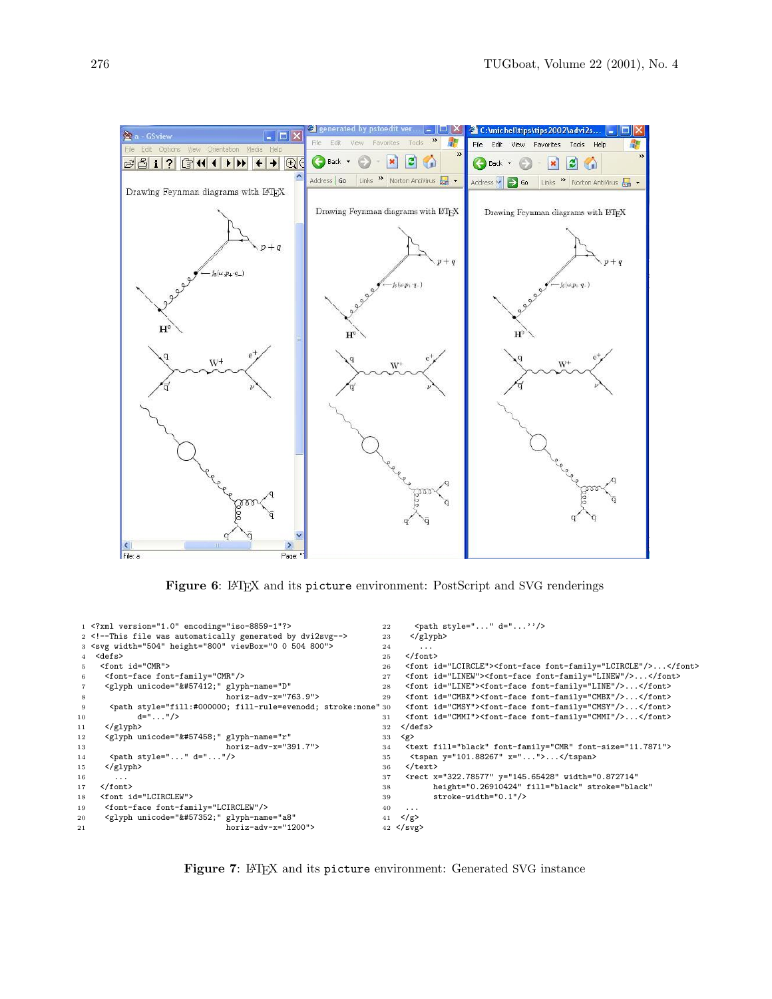

<span id="page-7-0"></span>Figure 6: LAT<sub>EX</sub> and its picture environment: PostScript and SVG renderings

```
1 <?xml version="1.0" encoding="iso-8859-1"?>
 2 <!--This file was automatically generated by dvi2svg-->
 3 <svg width="504" height="800" viewBox="0 0 504 800">
 4 <defs>
 5 <font id="CMR">
 6 <font-face font-family="CMR"/>
 7 <glyph unicode="&#57412;" glyph-name="D"
                                    boriz-adv-x="763.9"9 \leftarrow 4 \leftarrow 4 \leftarrow 4 \leftarrow 4 \leftarrow 4 \leftarrow 4 \leftarrow 4 \leftarrow 4 \leftarrow 4 \leftarrow 4 \leftarrow 31
10 d = " \dots " \rangle11 </glyph>
12 <glyph unicode="&#57458;" glyph-name="r"<br>13 horiz-adv-x="3
                                    13 horiz-adv-x="391.7">
14 <br/> <path style="..." d="..."/>
15 </glyph>
16
17 </font>
18 <font id="LCIRCLEW">
19 <font-face font-family="LCIRCLEW"/>
20 <glyph unicode="\&\#57352;" glyph-name="a8"
21 horiz-adv-x="1200">
                                                                          22 \left\{\text{path style=} "... " d="..." {\text{'s}} \right\}<br>23 \left\{\text{/glyph} \right\}\langleglyph>
                                                                          24 ...
                                                                          25 </font>
                                                                          26 <font id="LCIRCLE"><font-face font-family="LCIRCLE"/>...</font>
                                                                          27 <font id="LINEW"><font-face font-family="LINEW"/>...</font>
                                                                          28 <font id="LINE"><font-face font-family="LINE"/>...</font>
                                                                          29 <font id="CMBX"><font-face font-family="CMBX"/>...</font>
                                                                                30 <font id="CMSY"><font-face font-family="CMSY"/>...</font>
                                                                          31 <font id="CMMI"><font-face font-family="CMMI"/>...</font>
                                                                          32 </defs>
                                                                          33 \langle g \rangle<br>34 \langle t \rangle34 <text fill="black" font-family="CMR" font-size="11.7871">
                                                                          35 <tspan y="101.88267" x="...">...</tspan>
                                                                          36 </text><br>37 <rect x
                                                                                37 <rect x="322.78577" y="145.65428" width="0.872714"
                                                                          38 height="0.26910424" fill="black" stroke="black"<br>39 stroke-width="0.1"/>
                                                                                       stroke-width="0.1"/>
                                                                          40 ...
                                                                          41 \langle/g>
                                                                          42 </svg>
```
<span id="page-7-1"></span>Figure 7: LAT<sub>E</sub>X and its picture environment: Generated SVG instance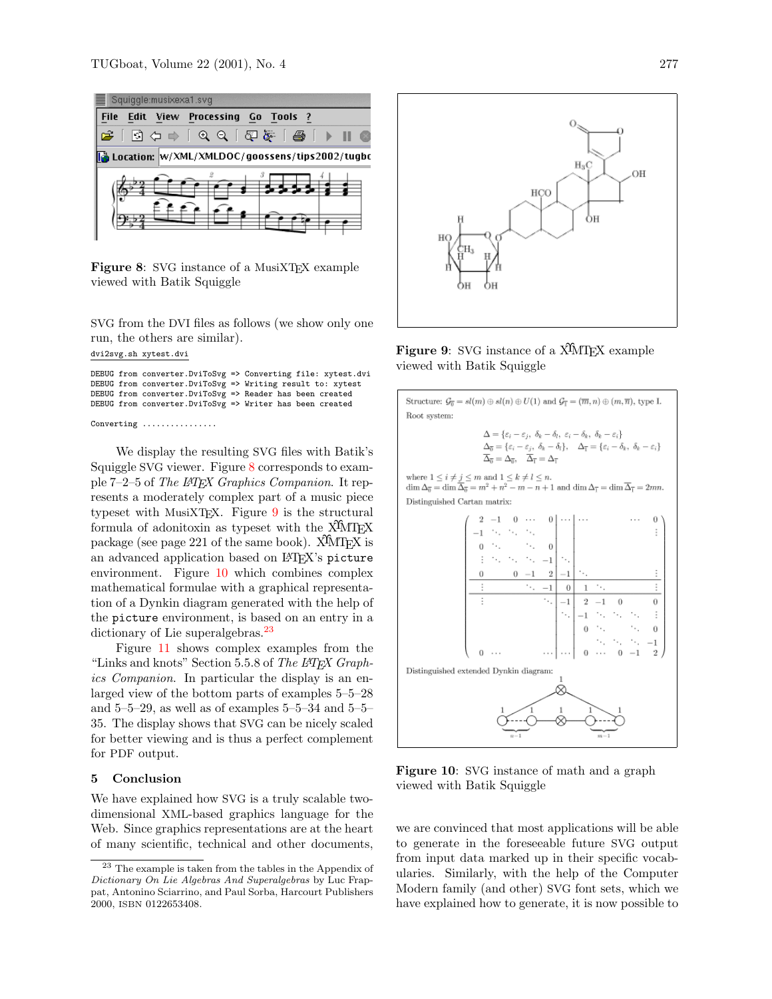

<span id="page-8-0"></span>Figure 8: SVG instance of a MusiXTEX example viewed with Batik Squiggle

SVG from the DVI files as follows (we show only one run, the others are similar).

```
dvi2svg.sh xytest.dvi
```
DEBUG from converter.DviToSvg => Converting file: xytest.dvi DEBUG from converter.DviToSvg => Writing result to: xytest DEBUG from converter.DviToSvg => Reader has been created DEBUG from converter.DviToSvg => Writer has been created

Converting ...............

We display the resulting SVG files with Batik's Squiggle SVG viewer. Figure [8](#page-8-0) corresponds to example 7–2–5 of The LAT<sub>F</sub>X Graphics Companion. It represents a moderately complex part of a music piece typeset with MusiXT<sub>F</sub>X. Figure  $9$  is the structural formula of adonitoxin as typeset with the  $\widehat{X}$ MT<sub>E</sub>X package (see page 221 of the same book).  $\widehat{X}$ MTFX is an advanced application based on LATFX's picture environment. Figure [10](#page-8-2) which combines complex mathematical formulae with a graphical representation of a Dynkin diagram generated with the help of the picture environment, is based on an entry in a dictionary of Lie superalgebras.<sup>[23](#page-8-3)</sup>

Figure [11](#page-9-0) shows complex examples from the "Links and knots" Section 5.5.8 of The LATEX Graphics Companion. In particular the display is an enlarged view of the bottom parts of examples 5–5–28 and  $5-5-29$ , as well as of examples  $5-5-34$  and  $5-5-$ 35. The display shows that SVG can be nicely scaled for better viewing and is thus a perfect complement for PDF output.

### 5 Conclusion

We have explained how SVG is a truly scalable twodimensional XML-based graphics language for the Web. Since graphics representations are at the heart of many scientific, technical and other documents,



<span id="page-8-1"></span>Figure 9: SVG instance of a X<sup>I</sup>MT<sub>E</sub>X example viewed with Batik Squiggle



<span id="page-8-2"></span>Figure 10: SVG instance of math and a graph viewed with Batik Squiggle

we are convinced that most applications will be able to generate in the foreseeable future SVG output from input data marked up in their specific vocabularies. Similarly, with the help of the Computer Modern family (and other) SVG font sets, which we have explained how to generate, it is now possible to

<span id="page-8-3"></span> $^{\rm 23}$  The example is taken from the tables in the Appendix of Dictionary On Lie Algebras And Superalgebras by Luc Frappat, Antonino Sciarrino, and Paul Sorba, Harcourt Publishers 2000, ISBN 0122653408.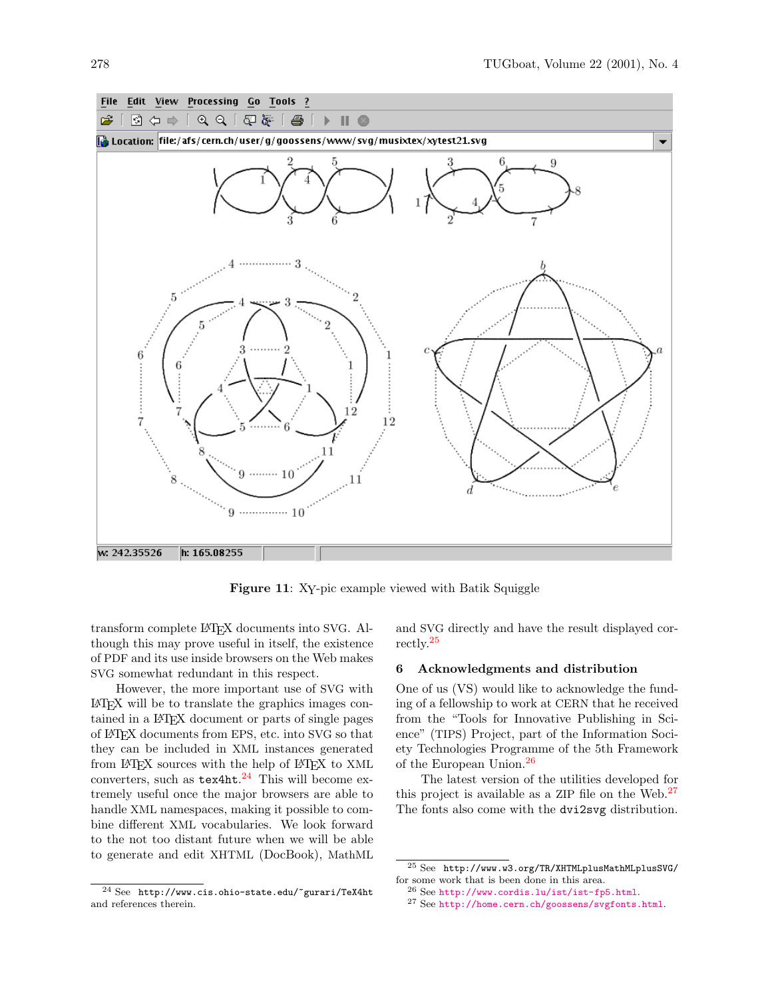

<span id="page-9-0"></span>Figure 11: XY-pic example viewed with Batik Squiggle

transform complete LATEX documents into SVG. Although this may prove useful in itself, the existence of PDF and its use inside browsers on the Web makes SVG somewhat redundant in this respect.

However, the more important use of SVG with LATEX will be to translate the graphics images contained in a LATEX document or parts of single pages of LATEX documents from EPS, etc. into SVG so that they can be included in XML instances generated from LAT<sub>E</sub>X sources with the help of LAT<sub>E</sub>X to XML converters, such as  $text{tex}^{24}$  $text{tex}^{24}$  $text{tex}^{24}$  This will become extremely useful once the major browsers are able to handle XML namespaces, making it possible to combine different XML vocabularies. We look forward to the not too distant future when we will be able to generate and edit XHTML (DocBook), MathML

and SVG directly and have the result displayed correctly.[25](#page-9-2)

#### 6 Acknowledgments and distribution

One of us (VS) would like to acknowledge the funding of a fellowship to work at CERN that he received from the "Tools for Innovative Publishing in Science" (TIPS) Project, part of the Information Society Technologies Programme of the 5th Framework of the European Union.[26](#page-9-3)

The latest version of the utilities developed for this project is available as a ZIP file on the Web.<sup>[27](#page-9-4)</sup> The fonts also come with the dvi2svg distribution.

<span id="page-9-1"></span><sup>24</sup> See http://www.cis.ohio-state.edu/~gurari/TeX4ht and references therein.

<span id="page-9-2"></span> $^{25}$  See <br> http://www.w3.org/TR/XHTMLplusMathMLplusSVG/  $\,$ for some work that is been done in this area.

<span id="page-9-3"></span> $^{26}$  See <http://www.cordis.lu/ist/ist-fp5.html>.

<span id="page-9-4"></span><sup>27</sup> See <http://home.cern.ch/goossens/svgfonts.html>.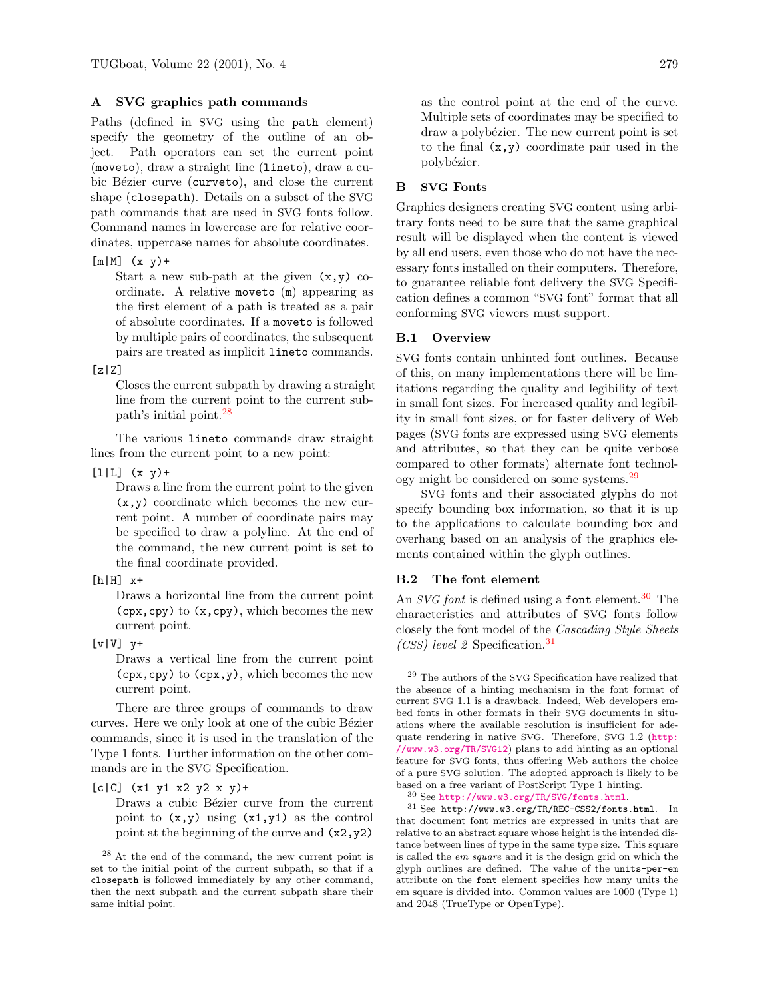# A SVG graphics path commands

Paths (defined in SVG using the path element) specify the geometry of the outline of an object. Path operators can set the current point (moveto), draw a straight line (lineto), draw a cubic Bézier curve (curveto), and close the current shape (closepath). Details on a subset of the SVG path commands that are used in SVG fonts follow. Command names in lowercase are for relative coordinates, uppercase names for absolute coordinates.

### $[m|M]$   $(x y)$ +

Start a new sub-path at the given  $(x,y)$  coordinate. A relative moveto (m) appearing as the first element of a path is treated as a pair of absolute coordinates. If a moveto is followed by multiple pairs of coordinates, the subsequent pairs are treated as implicit lineto commands.

#### $[z|Z]$

Closes the current subpath by drawing a straight line from the current point to the current subpath's initial point.[28](#page-10-1)

The various lineto commands draw straight lines from the current point to a new point:

#### $[1|L]$   $(x y) +$

Draws a line from the current point to the given (x,y) coordinate which becomes the new current point. A number of coordinate pairs may be specified to draw a polyline. At the end of the command, the new current point is set to the final coordinate provided.

## $[h|H]$   $x+$

Draws a horizontal line from the current point (cpx,cpy) to (x,cpy), which becomes the new current point.

 $[v|V]$   $y+$ 

Draws a vertical line from the current point (cpx,cpy) to (cpx,y), which becomes the new current point.

There are three groups of commands to draw curves. Here we only look at one of the cubic Bézier commands, since it is used in the translation of the Type 1 fonts. Further information on the other commands are in the SVG Specification.

 $[c|C]$  (x1 y1 x2 y2 x y)+

Draws a cubic Bézier curve from the current point to  $(x,y)$  using  $(x1,y1)$  as the control point at the beginning of the curve and  $(x2,y2)$ 

as the control point at the end of the curve. Multiple sets of coordinates may be specified to draw a polybézier. The new current point is set to the final  $(x,y)$  coordinate pair used in the polybézier.

# B SVG Fonts

Graphics designers creating SVG content using arbitrary fonts need to be sure that the same graphical result will be displayed when the content is viewed by all end users, even those who do not have the necessary fonts installed on their computers. Therefore, to guarantee reliable font delivery the SVG Specification defines a common "SVG font" format that all conforming SVG viewers must support.

### B.1 Overview

SVG fonts contain unhinted font outlines. Because of this, on many implementations there will be limitations regarding the quality and legibility of text in small font sizes. For increased quality and legibility in small font sizes, or for faster delivery of Web pages (SVG fonts are expressed using SVG elements and attributes, so that they can be quite verbose compared to other formats) alternate font technol-ogy might be considered on some systems.<sup>[29](#page-10-2)</sup>

SVG fonts and their associated glyphs do not specify bounding box information, so that it is up to the applications to calculate bounding box and overhang based on an analysis of the graphics elements contained within the glyph outlines.

## <span id="page-10-0"></span>B.2 The font element

An *SVG font* is defined using a **font** element.<sup>[30](#page-10-3)</sup> The characteristics and attributes of SVG fonts follow closely the font model of the Cascading Style Sheets (CSS) level 2 Specification.[31](#page-10-4)

<span id="page-10-1"></span><sup>28</sup> At the end of the command, the new current point is set to the initial point of the current subpath, so that if a closepath is followed immediately by any other command, then the next subpath and the current subpath share their same initial point.

<span id="page-10-2"></span> $^\mathrm{29}$  The authors of the SVG Specification have realized that the absence of a hinting mechanism in the font format of current SVG 1.1 is a drawback. Indeed, Web developers embed fonts in other formats in their SVG documents in situations where the available resolution is insufficient for adequate rendering in native SVG. Therefore, SVG 1.2 ([http:](http://www.w3.org/TR/SVG12) [//www.w3.org/TR/SVG12](http://www.w3.org/TR/SVG12)) plans to add hinting as an optional feature for SVG fonts, thus offering Web authors the choice of a pure SVG solution. The adopted approach is likely to be based on a free variant of PostScript Type 1 hinting.

<span id="page-10-4"></span><span id="page-10-3"></span><sup>30</sup> See <http://www.w3.org/TR/SVG/fonts.html>.

<sup>31</sup> See http://www.w3.org/TR/REC-CSS2/fonts.html. In that document font metrics are expressed in units that are relative to an abstract square whose height is the intended distance between lines of type in the same type size. This square is called the em square and it is the design grid on which the glyph outlines are defined. The value of the units-per-em attribute on the font element specifies how many units the em square is divided into. Common values are 1000 (Type 1) and 2048 (TrueType or OpenType).